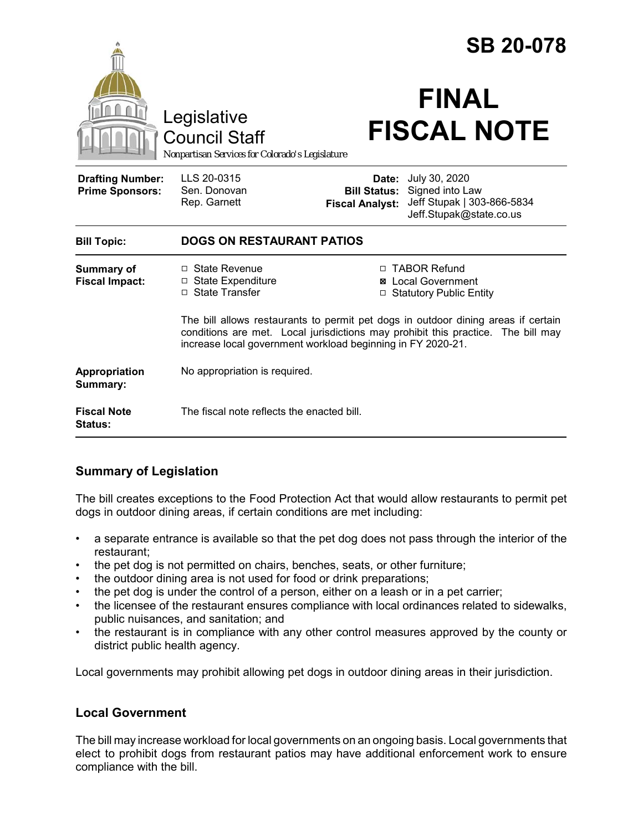|                                                   |                                                                                                                                                                                                                                      | <b>SB 20-078</b>                                                                                                                                    |
|---------------------------------------------------|--------------------------------------------------------------------------------------------------------------------------------------------------------------------------------------------------------------------------------------|-----------------------------------------------------------------------------------------------------------------------------------------------------|
|                                                   | Legislative<br><b>Council Staff</b><br>Nonpartisan Services for Colorado's Legislature                                                                                                                                               | <b>FINAL</b><br><b>FISCAL NOTE</b>                                                                                                                  |
| <b>Drafting Number:</b><br><b>Prime Sponsors:</b> | LLS 20-0315<br>Sen. Donovan<br>Rep. Garnett                                                                                                                                                                                          | July 30, 2020<br>Date:<br>Signed into Law<br><b>Bill Status:</b><br>Jeff Stupak   303-866-5834<br><b>Fiscal Analyst:</b><br>Jeff.Stupak@state.co.us |
| <b>Bill Topic:</b>                                | <b>DOGS ON RESTAURANT PATIOS</b>                                                                                                                                                                                                     |                                                                                                                                                     |
| <b>Summary of</b><br><b>Fiscal Impact:</b>        | □ State Revenue<br>$\Box$ State Expenditure<br>□ State Transfer                                                                                                                                                                      | □ TABOR Refund<br><b>⊠</b> Local Government<br><b>Statutory Public Entity</b><br>$\Box$                                                             |
|                                                   | The bill allows restaurants to permit pet dogs in outdoor dining areas if certain<br>conditions are met. Local jurisdictions may prohibit this practice. The bill may<br>increase local government workload beginning in FY 2020-21. |                                                                                                                                                     |
| Appropriation<br>Summary:                         | No appropriation is required.                                                                                                                                                                                                        |                                                                                                                                                     |
| <b>Fiscal Note</b><br><b>Status:</b>              | The fiscal note reflects the enacted bill.                                                                                                                                                                                           |                                                                                                                                                     |

## **Summary of Legislation**

The bill creates exceptions to the Food Protection Act that would allow restaurants to permit pet dogs in outdoor dining areas, if certain conditions are met including:

- a separate entrance is available so that the pet dog does not pass through the interior of the restaurant;
- the pet dog is not permitted on chairs, benches, seats, or other furniture;
- the outdoor dining area is not used for food or drink preparations;
- the pet dog is under the control of a person, either on a leash or in a pet carrier;
- the licensee of the restaurant ensures compliance with local ordinances related to sidewalks, public nuisances, and sanitation; and
- the restaurant is in compliance with any other control measures approved by the county or district public health agency.

Local governments may prohibit allowing pet dogs in outdoor dining areas in their jurisdiction.

## **Local Government**

The bill may increase workload for local governments on an ongoing basis. Local governments that elect to prohibit dogs from restaurant patios may have additional enforcement work to ensure compliance with the bill.